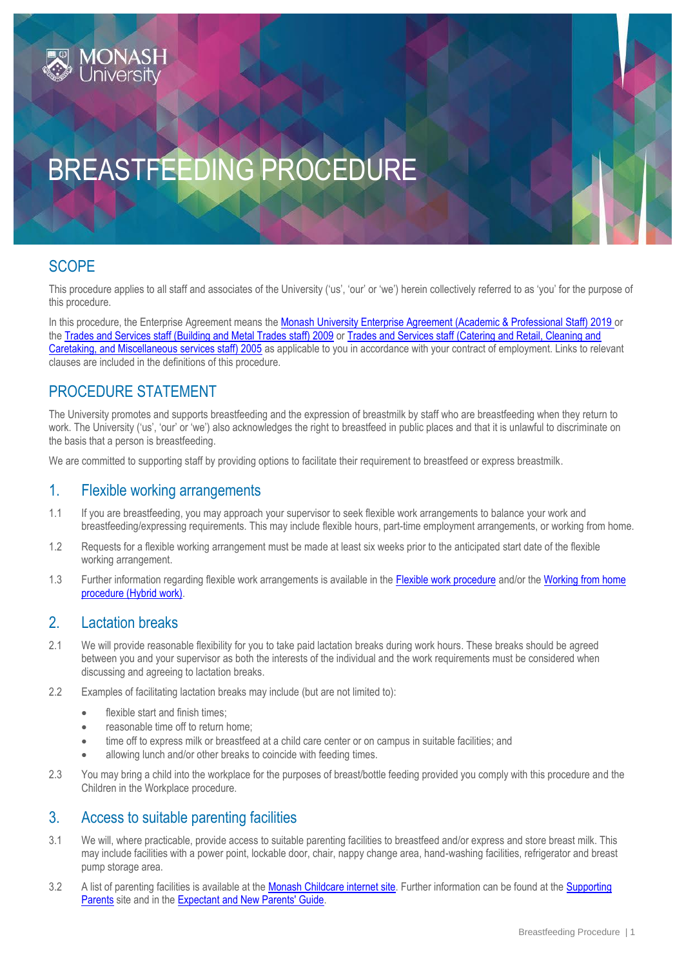

# BREASTFEEDING PROCEDURE

# **SCOPE**

This procedure applies to all staff and associates of the University ('us', 'our' or 'we') herein collectively referred to as 'you' for the purpose of this procedure.

In this procedure, the Enterprise Agreement means the [Monash University Enterprise Agreement \(Academic & Professional Staff\) 2019](https://www.monash.edu/current-enterprise-agreements/academic-professional-2019) or the [Trades and Services staff \(Building and Metal Trades staff\) 2009](https://www.monash.edu/current-enterprise-agreements/trades-services-bmt-2009) or [Trades and Services staff \(Catering and Retail, Cleaning and](https://www.monash.edu/current-enterprise-agreements/trades-services-crccm-2005)  [Caretaking, and Miscellaneous services staff\) 2005](https://www.monash.edu/current-enterprise-agreements/trades-services-crccm-2005) as applicable to you in accordance with your contract of employment. Links to relevant clauses are included in the definitions of this procedure.

## PROCEDURE STATEMENT

The University promotes and supports breastfeeding and the expression of breastmilk by staff who are breastfeeding when they return to work. The University ('us', 'our' or 'we') also acknowledges the right to breastfeed in public places and that it is unlawful to discriminate on the basis that a person is breastfeeding.

We are committed to supporting staff by providing options to facilitate their requirement to breastfeed or express breastmilk.

## 1. Flexible working arrangements

- 1.1 If you are breastfeeding, you may approach your supervisor to seek flexible work arrangements to balance your work and breastfeeding/expressing requirements. This may include flexible hours, part-time employment arrangements, or working from home.
- 1.2 Requests for a flexible working arrangement must be made at least six weeks prior to the anticipated start date of the flexible working arrangement.
- 1.3 Further information regarding flexible work arrangements is available in the [Flexible work procedure](https://publicpolicydms.monash.edu/Monash/documents/1935686) and/or the [Working from home](https://publicpolicydms.monash.edu/Monash/documents/1935739)  [procedure \(Hybrid work\).](https://publicpolicydms.monash.edu/Monash/documents/1935739)

#### 2. Lactation breaks

- 2.1 We will provide reasonable flexibility for you to take paid lactation breaks during work hours. These breaks should be agreed between you and your supervisor as both the interests of the individual and the work requirements must be considered when discussing and agreeing to lactation breaks.
- 2.2 Examples of facilitating lactation breaks may include (but are not limited to):
	- flexible start and finish times;
	- reasonable time off to return home:
	- time off to express milk or breastfeed at a child care center or on campus in suitable facilities; and
	- allowing lunch and/or other breaks to coincide with feeding times.
- 2.3 You may bring a child into the workplace for the purposes of breast/bottle feeding provided you comply with this procedure and the Children in the Workplace procedure.

## 3. Access to suitable parenting facilities

- 3.1 We will, where practicable, provide access to suitable parenting facilities to breastfeed and/or express and store breast milk. This may include facilities with a power point, lockable door, chair, nappy change area, hand-washing facilities, refrigerator and breast pump storage area.
- 3.2 A list of parenting facilities is available at the [Monash Childcare internet site.](https://www.monash.edu/childcare/parenting-rooms-on-campus) Further information can be found at the Supporting [Parents](https://www.monash.edu/gender-equity/parents) site and in the [Expectant and New Parents' Guide.](https://www.monash.edu/__data/assets/pdf_file/0020/620525/18P-0336-Expectant-New-Parents-Guide-digital.pdf)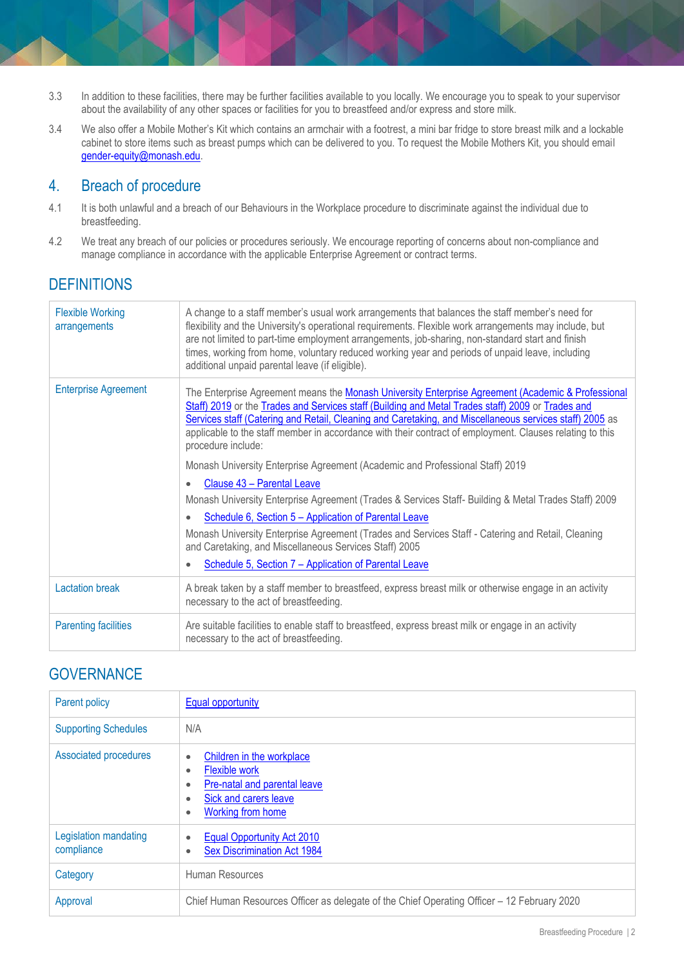- 3.3 In addition to these facilities, there may be further facilities available to you locally. We encourage you to speak to your supervisor about the availability of any other spaces or facilities for you to breastfeed and/or express and store milk.
- 3.4 We also offer a Mobile Mother's Kit which contains an armchair with a footrest, a mini bar fridge to store breast milk and a lockable cabinet to store items such as breast pumps which can be delivered to you. To request the Mobile Mothers Kit, you should email [gender-equity@monash.edu.](mailto:gender-equity@monash.edu)

## 4. Breach of procedure

- 4.1 It is both unlawful and a breach of our Behaviours in the Workplace procedure to discriminate against the individual due to breastfeeding.
- 4.2 We treat any breach of our policies or procedures seriously. We encourage reporting of concerns about non-compliance and manage compliance in accordance with the applicable Enterprise Agreement or contract terms.

# **DEFINITIONS**

| <b>Flexible Working</b><br>arrangements | A change to a staff member's usual work arrangements that balances the staff member's need for<br>flexibility and the University's operational requirements. Flexible work arrangements may include, but<br>are not limited to part-time employment arrangements, job-sharing, non-standard start and finish<br>times, working from home, voluntary reduced working year and periods of unpaid leave, including<br>additional unpaid parental leave (if eligible). |
|-----------------------------------------|--------------------------------------------------------------------------------------------------------------------------------------------------------------------------------------------------------------------------------------------------------------------------------------------------------------------------------------------------------------------------------------------------------------------------------------------------------------------|
| <b>Enterprise Agreement</b>             | The Enterprise Agreement means the Monash University Enterprise Agreement (Academic & Professional<br>Staff) 2019 or the Trades and Services staff (Building and Metal Trades staff) 2009 or Trades and<br>Services staff (Catering and Retail, Cleaning and Caretaking, and Miscellaneous services staff) 2005 as<br>applicable to the staff member in accordance with their contract of employment. Clauses relating to this<br>procedure include:               |
|                                         | Monash University Enterprise Agreement (Academic and Professional Staff) 2019                                                                                                                                                                                                                                                                                                                                                                                      |
|                                         | Clause 43 - Parental Leave                                                                                                                                                                                                                                                                                                                                                                                                                                         |
|                                         | Monash University Enterprise Agreement (Trades & Services Staff- Building & Metal Trades Staff) 2009                                                                                                                                                                                                                                                                                                                                                               |
|                                         | Schedule 6, Section 5 - Application of Parental Leave<br>$\bullet$                                                                                                                                                                                                                                                                                                                                                                                                 |
|                                         | Monash University Enterprise Agreement (Trades and Services Staff - Catering and Retail, Cleaning<br>and Caretaking, and Miscellaneous Services Staff) 2005                                                                                                                                                                                                                                                                                                        |
|                                         | Schedule 5, Section 7 - Application of Parental Leave<br>$\bullet$                                                                                                                                                                                                                                                                                                                                                                                                 |
| <b>Lactation break</b>                  | A break taken by a staff member to breastfeed, express breast milk or otherwise engage in an activity<br>necessary to the act of breastfeeding.                                                                                                                                                                                                                                                                                                                    |
| <b>Parenting facilities</b>             | Are suitable facilities to enable staff to breastfeed, express breast milk or engage in an activity<br>necessary to the act of breastfeeding.                                                                                                                                                                                                                                                                                                                      |

## **GOVERNANCE**

| Parent policy                       | <b>Equal opportunity</b>                                                                                                                                                         |
|-------------------------------------|----------------------------------------------------------------------------------------------------------------------------------------------------------------------------------|
| <b>Supporting Schedules</b>         | N/A                                                                                                                                                                              |
| Associated procedures               | Children in the workplace<br>$\bullet$<br><b>Flexible work</b><br>$\bullet$<br>Pre-natal and parental leave<br>٠<br>Sick and carers leave<br>٠<br>Working from home<br>$\bullet$ |
| Legislation mandating<br>compliance | Equal Opportunity Act 2010<br>$\bullet$<br><b>Sex Discrimination Act 1984</b><br>٠                                                                                               |
| Category                            | Human Resources                                                                                                                                                                  |
| Approval                            | Chief Human Resources Officer as delegate of the Chief Operating Officer – 12 February 2020                                                                                      |